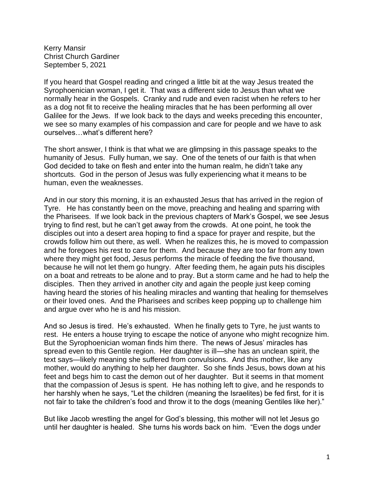Kerry Mansir Christ Church Gardiner September 5, 2021

If you heard that Gospel reading and cringed a little bit at the way Jesus treated the Syrophoenician woman, I get it. That was a different side to Jesus than what we normally hear in the Gospels. Cranky and rude and even racist when he refers to her as a dog not fit to receive the healing miracles that he has been performing all over Galilee for the Jews. If we look back to the days and weeks preceding this encounter, we see so many examples of his compassion and care for people and we have to ask ourselves…what's different here?

The short answer, I think is that what we are glimpsing in this passage speaks to the humanity of Jesus. Fully human, we say. One of the tenets of our faith is that when God decided to take on flesh and enter into the human realm, he didn't take any shortcuts. God in the person of Jesus was fully experiencing what it means to be human, even the weaknesses.

And in our story this morning, it is an exhausted Jesus that has arrived in the region of Tyre. He has constantly been on the move, preaching and healing and sparring with the Pharisees. If we look back in the previous chapters of Mark's Gospel, we see Jesus trying to find rest, but he can't get away from the crowds. At one point, he took the disciples out into a desert area hoping to find a space for prayer and respite, but the crowds follow him out there, as well. When he realizes this, he is moved to compassion and he foregoes his rest to care for them. And because they are too far from any town where they might get food, Jesus performs the miracle of feeding the five thousand, because he will not let them go hungry. After feeding them, he again puts his disciples on a boat and retreats to be alone and to pray. But a storm came and he had to help the disciples. Then they arrived in another city and again the people just keep coming having heard the stories of his healing miracles and wanting that healing for themselves or their loved ones. And the Pharisees and scribes keep popping up to challenge him and argue over who he is and his mission.

And so Jesus is tired. He's exhausted. When he finally gets to Tyre, he just wants to rest. He enters a house trying to escape the notice of anyone who might recognize him. But the Syrophoenician woman finds him there. The news of Jesus' miracles has spread even to this Gentile region. Her daughter is ill—she has an unclean spirit, the text says—likely meaning she suffered from convulsions. And this mother, like any mother, would do anything to help her daughter. So she finds Jesus, bows down at his feet and begs him to cast the demon out of her daughter. But it seems in that moment that the compassion of Jesus is spent. He has nothing left to give, and he responds to her harshly when he says, "Let the children (meaning the Israelites) be fed first, for it is not fair to take the children's food and throw it to the dogs (meaning Gentiles like her)."

But like Jacob wrestling the angel for God's blessing, this mother will not let Jesus go until her daughter is healed. She turns his words back on him. "Even the dogs under